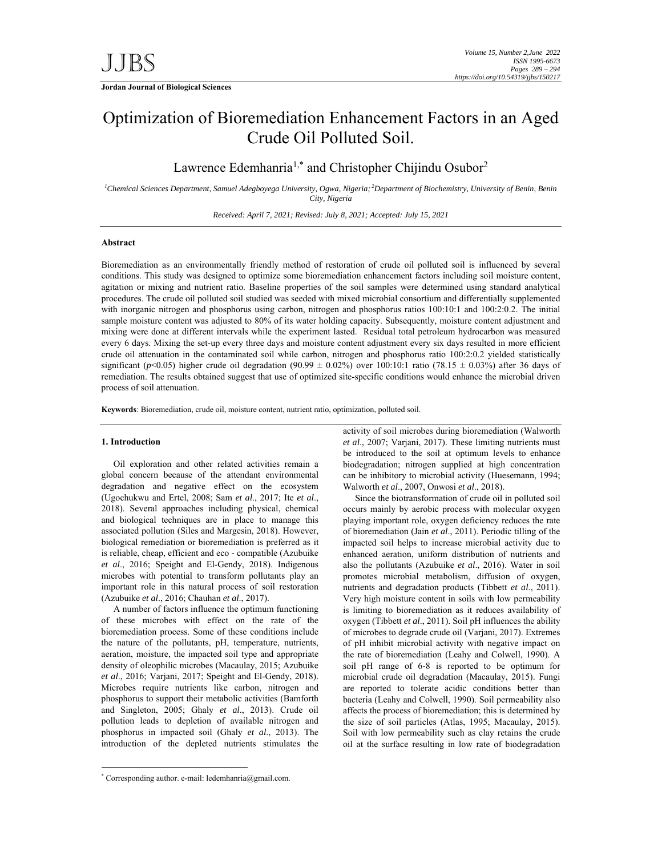# Optimization of Bioremediation Enhancement Factors in an Aged Crude Oil Polluted Soil.

Lawrence Edemhanria<sup>1,\*</sup> and Christopher Chijindu Osubor<sup>2</sup>

<sup>1</sup>Chemical Sciences Department, Samuel Adegboyega University, Ogwa, Nigeria; <sup>2</sup>Department of Biochemistry, University of Benin, Benin *City, Nigeria* 

*Received: April 7, 2021; Revised: July 8, 2021; Accepted: July 15, 2021* 

# **Abstract**

Bioremediation as an environmentally friendly method of restoration of crude oil polluted soil is influenced by several conditions. This study was designed to optimize some bioremediation enhancement factors including soil moisture content, agitation or mixing and nutrient ratio. Baseline properties of the soil samples were determined using standard analytical procedures. The crude oil polluted soil studied was seeded with mixed microbial consortium and differentially supplemented with inorganic nitrogen and phosphorus using carbon, nitrogen and phosphorus ratios 100:10:1 and 100:2:0.2. The initial sample moisture content was adjusted to 80% of its water holding capacity. Subsequently, moisture content adjustment and mixing were done at different intervals while the experiment lasted. Residual total petroleum hydrocarbon was measured every 6 days. Mixing the set-up every three days and moisture content adjustment every six days resulted in more efficient crude oil attenuation in the contaminated soil while carbon, nitrogen and phosphorus ratio 100:2:0.2 yielded statistically significant ( $p$ <0.05) higher crude oil degradation (90.99  $\pm$  0.02%) over 100:10:1 ratio (78.15  $\pm$  0.03%) after 36 days of remediation. The results obtained suggest that use of optimized site-specific conditions would enhance the microbial driven process of soil attenuation.

**Keywords**: Bioremediation, crude oil, moisture content, nutrient ratio, optimization, polluted soil.

## **1. Introduction**

-

Oil exploration and other related activities remain a global concern because of the attendant environmental degradation and negative effect on the ecosystem (Ugochukwu and Ertel, 2008; Sam *et al*., 2017; Ite *et al*., 2018). Several approaches including physical, chemical and biological techniques are in place to manage this associated pollution (Siles and Margesin, 2018). However, biological remediation or bioremediation is preferred as it is reliable, cheap, efficient and eco - compatible (Azubuike *et al*., 2016; Speight and El-Gendy, 2018). Indigenous microbes with potential to transform pollutants play an important role in this natural process of soil restoration (Azubuike *et al*., 2016; Chauhan *et al*., 2017).

A number of factors influence the optimum functioning of these microbes with effect on the rate of the bioremediation process. Some of these conditions include the nature of the pollutants, pH, temperature, nutrients, aeration, moisture, the impacted soil type and appropriate density of oleophilic microbes (Macaulay, 2015; Azubuike *et al*., 2016; Varjani, 2017; Speight and El-Gendy, 2018). Microbes require nutrients like carbon, nitrogen and phosphorus to support their metabolic activities (Bamforth and Singleton, 2005; Ghaly *et al*., 2013). Crude oil pollution leads to depletion of available nitrogen and phosphorus in impacted soil (Ghaly *et al*., 2013). The introduction of the depleted nutrients stimulates the

activity of soil microbes during bioremediation (Walworth *et al*., 2007; Varjani, 2017). These limiting nutrients must be introduced to the soil at optimum levels to enhance biodegradation; nitrogen supplied at high concentration can be inhibitory to microbial activity (Huesemann, 1994; Walworth *et al*., 2007, Onwosi *et al*., 2018).

Since the biotransformation of crude oil in polluted soil occurs mainly by aerobic process with molecular oxygen playing important role, oxygen deficiency reduces the rate of bioremediation (Jain *et al*., 2011). Periodic tilling of the impacted soil helps to increase microbial activity due to enhanced aeration, uniform distribution of nutrients and also the pollutants (Azubuike *et al*., 2016). Water in soil promotes microbial metabolism, diffusion of oxygen, nutrients and degradation products (Tibbett *et al*., 2011). Very high moisture content in soils with low permeability is limiting to bioremediation as it reduces availability of oxygen (Tibbett *et al*., 2011). Soil pH influences the ability of microbes to degrade crude oil (Varjani, 2017). Extremes of pH inhibit microbial activity with negative impact on the rate of bioremediation (Leahy and Colwell, 1990). A soil pH range of 6-8 is reported to be optimum for microbial crude oil degradation (Macaulay, 2015). Fungi are reported to tolerate acidic conditions better than bacteria (Leahy and Colwell, 1990). Soil permeability also affects the process of bioremediation; this is determined by the size of soil particles (Atlas, 1995; Macaulay, 2015). Soil with low permeability such as clay retains the crude oil at the surface resulting in low rate of biodegradation

<sup>\*</sup> Corresponding author. e-mail: ledemhanria@gmail.com.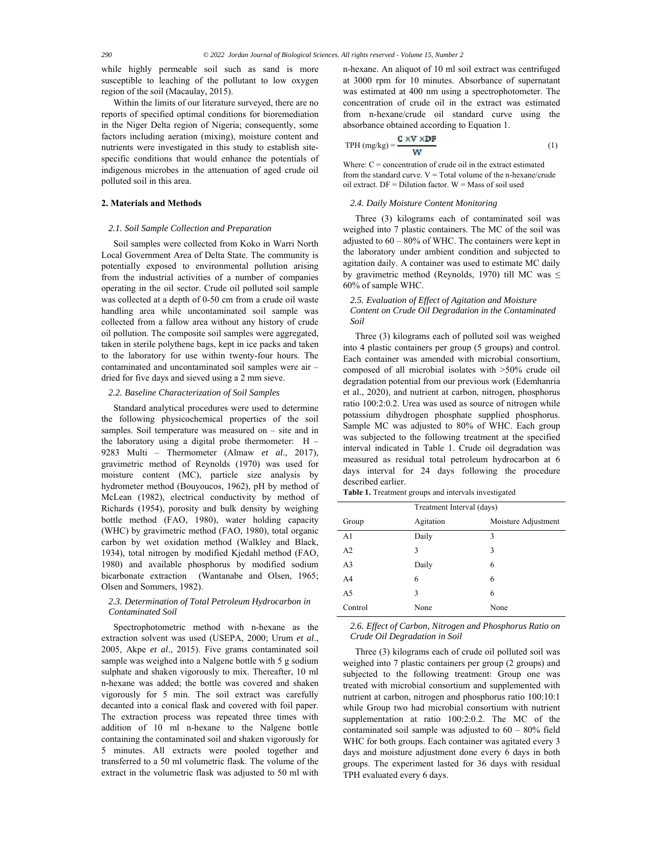while highly permeable soil such as sand is more susceptible to leaching of the pollutant to low oxygen region of the soil (Macaulay, 2015).

Within the limits of our literature surveyed, there are no reports of specified optimal conditions for bioremediation in the Niger Delta region of Nigeria; consequently, some factors including aeration (mixing), moisture content and nutrients were investigated in this study to establish sitespecific conditions that would enhance the potentials of indigenous microbes in the attenuation of aged crude oil polluted soil in this area.

## **2. Materials and Methods**

## *2.1. Soil Sample Collection and Preparation*

Soil samples were collected from Koko in Warri North Local Government Area of Delta State. The community is potentially exposed to environmental pollution arising from the industrial activities of a number of companies operating in the oil sector. Crude oil polluted soil sample was collected at a depth of 0-50 cm from a crude oil waste handling area while uncontaminated soil sample was collected from a fallow area without any history of crude oil pollution. The composite soil samples were aggregated, taken in sterile polythene bags, kept in ice packs and taken to the laboratory for use within twenty-four hours. The contaminated and uncontaminated soil samples were air – dried for five days and sieved using a 2 mm sieve.

## *2.2. Baseline Characterization of Soil Samples*

Standard analytical procedures were used to determine the following physicochemical properties of the soil samples. Soil temperature was measured on – site and in the laboratory using a digital probe thermometer:  $H -$ 9283 Multi – Thermometer (Almaw *et al*., 2017), gravimetric method of Reynolds (1970) was used for moisture content (MC), particle size analysis by hydrometer method (Bouyoucos, 1962), pH by method of McLean (1982), electrical conductivity by method of Richards (1954), porosity and bulk density by weighing bottle method (FAO, 1980), water holding capacity (WHC) by gravimetric method (FAO, 1980), total organic carbon by wet oxidation method (Walkley and Black, 1934), total nitrogen by modified Kjedahl method (FAO, 1980) and available phosphorus by modified sodium bicarbonate extraction (Wantanabe and Olsen, 1965; Olsen and Sommers, 1982).

# *2.3. Determination of Total Petroleum Hydrocarbon in Contaminated Soil*

Spectrophotometric method with n-hexane as the extraction solvent was used (USEPA, 2000; Urum *et al*., 2005, Akpe *et al*., 2015). Five grams contaminated soil sample was weighed into a Nalgene bottle with 5 g sodium sulphate and shaken vigorously to mix. Thereafter, 10 ml n-hexane was added; the bottle was covered and shaken vigorously for 5 min. The soil extract was carefully decanted into a conical flask and covered with foil paper. The extraction process was repeated three times with addition of 10 ml n-hexane to the Nalgene bottle containing the contaminated soil and shaken vigorously for 5 minutes. All extracts were pooled together and transferred to a 50 ml volumetric flask. The volume of the extract in the volumetric flask was adjusted to 50 ml with

n-hexane. An aliquot of 10 ml soil extract was centrifuged at 3000 rpm for 10 minutes. Absorbance of supernatant was estimated at 400 nm using a spectrophotometer. The concentration of crude oil in the extract was estimated from n-hexane/crude oil standard curve using the absorbance obtained according to Equation 1.

$$
TPH \left( \text{mg/kg} \right) = \frac{C \times V \times DF}{W} \tag{1}
$$

Where:  $C =$  concentration of crude oil in the extract estimated from the standard curve.  $V = Total$  volume of the n-hexane/crude oil extract. DF = Dilution factor. W = Mass of soil used

## *2.4. Daily Moisture Content Monitoring*

Three (3) kilograms each of contaminated soil was weighed into 7 plastic containers. The MC of the soil was adjusted to  $60 - 80\%$  of WHC. The containers were kept in the laboratory under ambient condition and subjected to agitation daily. A container was used to estimate MC daily by gravimetric method (Reynolds, 1970) till MC was ≤ 60% of sample WHC.

# *2.5. Evaluation of Effect of Agitation and Moisture Content on Crude Oil Degradation in the Contaminated Soil*

Three (3) kilograms each of polluted soil was weighed into 4 plastic containers per group (5 groups) and control. Each container was amended with microbial consortium, composed of all microbial isolates with  $>50\%$  crude oil degradation potential from our previous work (Edemhanria et al., 2020), and nutrient at carbon, nitrogen, phosphorus ratio 100:2:0.2. Urea was used as source of nitrogen while potassium dihydrogen phosphate supplied phosphorus. Sample MC was adjusted to 80% of WHC. Each group was subjected to the following treatment at the specified interval indicated in Table 1. Crude oil degradation was measured as residual total petroleum hydrocarbon at 6 days interval for 24 days following the procedure described earlier.

**Table 1.** Treatment groups and intervals investigated

|                | Treatment Interval (days) |                     |
|----------------|---------------------------|---------------------|
| Group          | Agitation                 | Moisture Adjustment |
| A <sub>1</sub> | Daily                     | 3                   |
| A2             | 3                         | 3                   |
| A <sub>3</sub> | Daily                     | 6                   |
| A <sub>4</sub> | 6                         | 6                   |
| A <sub>5</sub> | 3                         | 6                   |
| Control        | None                      | None                |

*2.6. Effect of Carbon, Nitrogen and Phosphorus Ratio on Crude Oil Degradation in Soil* 

Three (3) kilograms each of crude oil polluted soil was weighed into 7 plastic containers per group (2 groups) and subjected to the following treatment: Group one was treated with microbial consortium and supplemented with nutrient at carbon, nitrogen and phosphorus ratio 100:10:1 while Group two had microbial consortium with nutrient supplementation at ratio 100:2:0.2. The MC of the contaminated soil sample was adjusted to  $60 - 80\%$  field WHC for both groups. Each container was agitated every 3 days and moisture adjustment done every 6 days in both groups. The experiment lasted for 36 days with residual TPH evaluated every 6 days.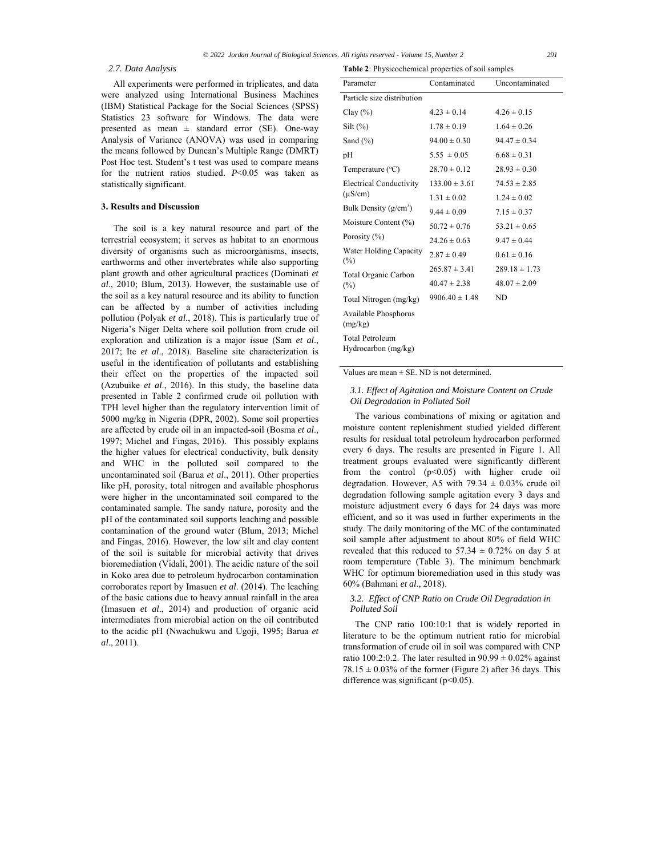#### *2.7. Data Analysis*

All experiments were performed in triplicates, and data were analyzed using International Business Machines (IBM) Statistical Package for the Social Sciences (SPSS) Statistics 23 software for Windows. The data were presented as mean  $\pm$  standard error (SE). One-way Analysis of Variance (ANOVA) was used in comparing the means followed by Duncan's Multiple Range (DMRT) Post Hoc test. Student's t test was used to compare means for the nutrient ratios studied. *P*<0.05 was taken as statistically significant.

# **3. Results and Discussion**

The soil is a key natural resource and part of the terrestrial ecosystem; it serves as habitat to an enormous diversity of organisms such as microorganisms, insects, earthworms and other invertebrates while also supporting plant growth and other agricultural practices (Dominati *et al*., 2010; Blum, 2013). However, the sustainable use of the soil as a key natural resource and its ability to function can be affected by a number of activities including pollution (Polyak *et al*., 2018). This is particularly true of Nigeria's Niger Delta where soil pollution from crude oil exploration and utilization is a major issue (Sam *et al*., 2017; Ite *et al*., 2018). Baseline site characterization is useful in the identification of pollutants and establishing their effect on the properties of the impacted soil (Azubuike *et al*., 2016). In this study, the baseline data presented in Table 2 confirmed crude oil pollution with TPH level higher than the regulatory intervention limit of 5000 mg/kg in Nigeria (DPR, 2002). Some soil properties are affected by crude oil in an impacted-soil (Bosma *et al*., 1997; Michel and Fingas, 2016). This possibly explains the higher values for electrical conductivity, bulk density and WHC in the polluted soil compared to the uncontaminated soil (Barua *et al*., 2011). Other properties like pH, porosity, total nitrogen and available phosphorus were higher in the uncontaminated soil compared to the contaminated sample. The sandy nature, porosity and the pH of the contaminated soil supports leaching and possible contamination of the ground water (Blum, 2013; Michel and Fingas, 2016). However, the low silt and clay content of the soil is suitable for microbial activity that drives bioremediation (Vidali, 2001). The acidic nature of the soil in Koko area due to petroleum hydrocarbon contamination corroborates report by Imasuen *et al*. (2014). The leaching of the basic cations due to heavy annual rainfall in the area (Imasuen *et al*., 2014) and production of organic acid intermediates from microbial action on the oil contributed to the acidic pH (Nwachukwu and Ugoji, 1995; Barua *et al*., 2011).

| Parameter                                     | Contaminated       | Uncontaminated    |
|-----------------------------------------------|--------------------|-------------------|
| Particle size distribution                    |                    |                   |
| Clay(%)                                       | $4.23 \pm 0.14$    | $4.26 \pm 0.15$   |
| $Silt (\%)$                                   | $1.78 \pm 0.19$    | $1.64 \pm 0.26$   |
| Sand $(\% )$                                  | $94.00 \pm 0.30$   | $94.47 \pm 0.34$  |
| pH                                            | $5.55 \pm 0.05$    | $6.68 \pm 0.31$   |
| Temperature $(^{\circ}C)$                     | $28.70 \pm 0.12$   | $28.93 \pm 0.30$  |
| <b>Electrical Conductivity</b>                | $133.00 \pm 3.61$  | $74.53 \pm 2.85$  |
| $(\mu S/cm)$                                  | $1.31 \pm 0.02$    | $1.24 \pm 0.02$   |
| Bulk Density $(g/cm^3)$                       | $9.44 \pm 0.09$    | $7.15 \pm 0.37$   |
| Moisture Content (%)                          | $50.72 \pm 0.76$   | $53.21 \pm 0.65$  |
| Porosity (%)                                  | $24.26 \pm 0.63$   | $9.47 \pm 0.44$   |
| Water Holding Capacity<br>(%)                 | $2.87 \pm 0.49$    | $0.61 \pm 0.16$   |
| Total Organic Carbon                          | $265.87 \pm 3.41$  | $289.18 \pm 1.73$ |
| $(\%)$                                        | $40.47 \pm 2.38$   | $48.07 \pm 2.09$  |
| Total Nitrogen (mg/kg)                        | $9906.40 \pm 1.48$ | ND                |
| Available Phosphorus<br>(mg/kg)               |                    |                   |
| <b>Total Petroleum</b><br>Hydrocarbon (mg/kg) |                    |                   |

**Table 2**: Physicochemical properties of soil samples

## Values are mean  $\pm$  SE. ND is not determined.

# *3.1. Effect of Agitation and Moisture Content on Crude Oil Degradation in Polluted Soil*

The various combinations of mixing or agitation and moisture content replenishment studied yielded different results for residual total petroleum hydrocarbon performed every 6 days. The results are presented in Figure 1. All treatment groups evaluated were significantly different from the control  $(p<0.05)$  with higher crude oil degradation. However, A5 with  $79.34 \pm 0.03\%$  crude oil degradation following sample agitation every 3 days and moisture adjustment every 6 days for 24 days was more efficient, and so it was used in further experiments in the study. The daily monitoring of the MC of the contaminated soil sample after adjustment to about 80% of field WHC revealed that this reduced to  $57.34 \pm 0.72\%$  on day 5 at room temperature (Table 3). The minimum benchmark WHC for optimum bioremediation used in this study was 60% (Bahmani *et al*., 2018).

# *3.2. Effect of CNP Ratio on Crude Oil Degradation in Polluted Soil*

The CNP ratio 100:10:1 that is widely reported in literature to be the optimum nutrient ratio for microbial transformation of crude oil in soil was compared with CNP ratio 100:2:0.2. The later resulted in  $90.99 \pm 0.02\%$  against  $78.15 \pm 0.03\%$  of the former (Figure 2) after 36 days. This difference was significant ( $p<0.05$ ).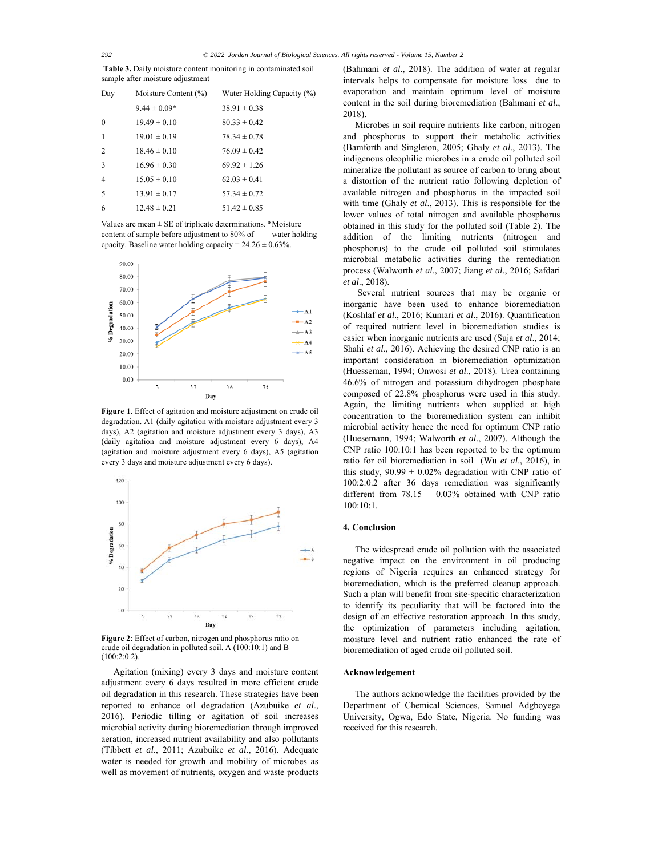**Table 3.** Daily moisture content monitoring in contaminated soil sample after moisture adjustment

| Day            | Moisture Content (%) | Water Holding Capacity (%) |
|----------------|----------------------|----------------------------|
|                | $9.44 \pm 0.09*$     | $38.91 \pm 0.38$           |
| $\theta$       | $19.49 \pm 0.10$     | $80.33 \pm 0.42$           |
| 1              | $19.01 \pm 0.19$     | $78.34 \pm 0.78$           |
| $\overline{c}$ | $18.46 \pm 0.10$     | $76.09 \pm 0.42$           |
| 3              | $16.96 \pm 0.30$     | $69.92 \pm 1.26$           |
| 4              | $15.05 \pm 0.10$     | $62.03 \pm 0.41$           |
| 5              | $13.91 \pm 0.17$     | $57.34 \pm 0.72$           |
| 6              | $12.48 \pm 0.21$     | $51.42 \pm 0.85$           |

Values are mean  $\pm$  SE of triplicate determinations. \*Moisture content of sample before adjustment to 80% of water holding cpacity. Baseline water holding capacity =  $24.26 \pm 0.63$ %.



**Figure 1**. Effect of agitation and moisture adjustment on crude oil degradation. A1 (daily agitation with moisture adjustment every 3 days), A2 (agitation and moisture adjustment every 3 days), A3 (daily agitation and moisture adjustment every 6 days), A4 (agitation and moisture adjustment every 6 days), A5 (agitation every 3 days and moisture adjustment every 6 days).



**Figure 2**: Effect of carbon, nitrogen and phosphorus ratio on crude oil degradation in polluted soil. A (100:10:1) and B (100:2:0.2).

Agitation (mixing) every 3 days and moisture content adjustment every 6 days resulted in more efficient crude oil degradation in this research. These strategies have been reported to enhance oil degradation (Azubuike *et al*., 2016). Periodic tilling or agitation of soil increases microbial activity during bioremediation through improved aeration, increased nutrient availability and also pollutants (Tibbett *et al*., 2011; Azubuike *et al*., 2016). Adequate water is needed for growth and mobility of microbes as well as movement of nutrients, oxygen and waste products

(Bahmani *et al*., 2018). The addition of water at regular intervals helps to compensate for moisture loss due to evaporation and maintain optimum level of moisture content in the soil during bioremediation (Bahmani *et al*., 2018).

Microbes in soil require nutrients like carbon, nitrogen and phosphorus to support their metabolic activities (Bamforth and Singleton, 2005; Ghaly *et al*., 2013). The indigenous oleophilic microbes in a crude oil polluted soil mineralize the pollutant as source of carbon to bring about a distortion of the nutrient ratio following depletion of available nitrogen and phosphorus in the impacted soil with time (Ghaly *et al*., 2013). This is responsible for the lower values of total nitrogen and available phosphorus obtained in this study for the polluted soil (Table 2). The addition of the limiting nutrients (nitrogen and phosphorus) to the crude oil polluted soil stimulates microbial metabolic activities during the remediation process (Walworth *et al*., 2007; Jiang *et al*., 2016; Safdari *et al*., 2018).

 Several nutrient sources that may be organic or inorganic have been used to enhance bioremediation (Koshlaf *et al*., 2016; Kumari *et al*., 2016). Quantification of required nutrient level in bioremediation studies is easier when inorganic nutrients are used (Suja *et al*., 2014; Shahi *et al*., 2016). Achieving the desired CNP ratio is an important consideration in bioremediation optimization (Huesseman, 1994; Onwosi *et al*., 2018). Urea containing 46.6% of nitrogen and potassium dihydrogen phosphate composed of 22.8% phosphorus were used in this study. Again, the limiting nutrients when supplied at high concentration to the bioremediation system can inhibit microbial activity hence the need for optimum CNP ratio (Huesemann, 1994; Walworth *et al*., 2007). Although the CNP ratio 100:10:1 has been reported to be the optimum ratio for oil bioremediation in soil (Wu *et al*., 2016), in this study,  $90.99 \pm 0.02\%$  degradation with CNP ratio of 100:2:0.2 after 36 days remediation was significantly different from  $78.15 \pm 0.03\%$  obtained with CNP ratio 100:10:1.

## **4. Conclusion**

The widespread crude oil pollution with the associated negative impact on the environment in oil producing regions of Nigeria requires an enhanced strategy for bioremediation, which is the preferred cleanup approach. Such a plan will benefit from site-specific characterization to identify its peculiarity that will be factored into the design of an effective restoration approach. In this study, the optimization of parameters including agitation, moisture level and nutrient ratio enhanced the rate of bioremediation of aged crude oil polluted soil.

### **Acknowledgement**

The authors acknowledge the facilities provided by the Department of Chemical Sciences, Samuel Adgboyega University, Ogwa, Edo State, Nigeria. No funding was received for this research.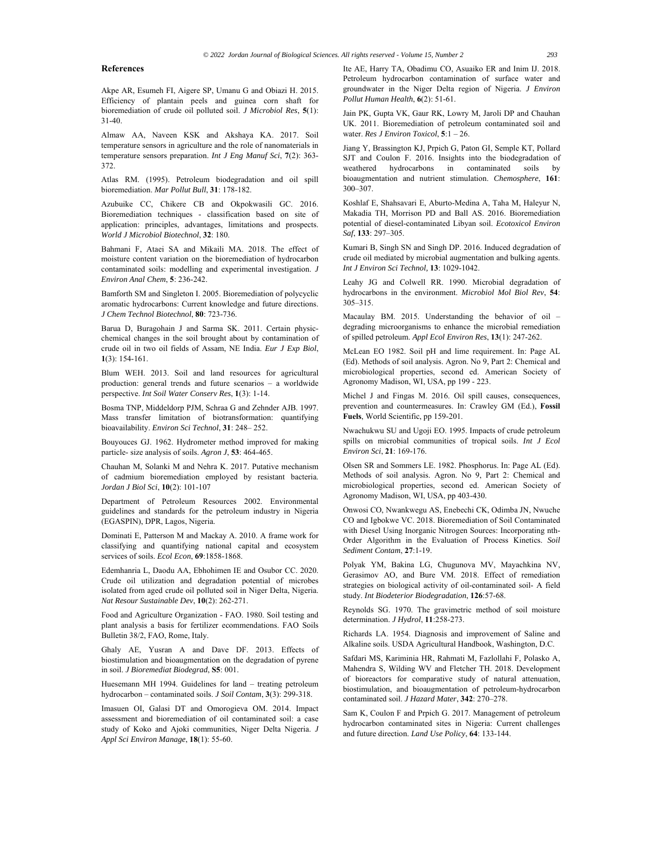## **References**

Akpe AR, Esumeh FI, Aigere SP, Umanu G and Obiazi H. 2015. Efficiency of plantain peels and guinea corn shaft for bioremediation of crude oil polluted soil. *J Microbiol Res*, **5**(1): 31-40.

Almaw AA, Naveen KSK and Akshaya KA. 2017. Soil temperature sensors in agriculture and the role of nanomaterials in temperature sensors preparation. *Int J Eng Manuf Sci*, **7**(2): 363- 372.

Atlas RM. (1995). Petroleum biodegradation and oil spill bioremediation. *Mar Pollut Bull*, **31**: 178-182.

Azubuike CC, Chikere CB and Okpokwasili GC. 2016. Bioremediation techniques - classification based on site of application: principles, advantages, limitations and prospects. *World J Microbiol Biotechnol*, **32**: 180.

Bahmani F, Ataei SA and Mikaili MA. 2018. The effect of moisture content variation on the bioremediation of hydrocarbon contaminated soils: modelling and experimental investigation. *J Environ Anal Chem*, **5**: 236-242.

Bamforth SM and Singleton I. 2005. Bioremediation of polycyclic aromatic hydrocarbons: Current knowledge and future directions. *J Chem Technol Biotechnol*, **80**: 723-736.

Barua D, Buragohain J and Sarma SK. 2011. Certain physicchemical changes in the soil brought about by contamination of crude oil in two oil fields of Assam, NE India. *Eur J Exp Biol*, **1**(3): 154-161.

Blum WEH. 2013. Soil and land resources for agricultural production: general trends and future scenarios – a worldwide perspective. *Int Soil Water Conserv Res*, **1**(3): 1-14.

Bosma TNP, Middeldorp PJM, Schraa G and Zehnder AJB. 1997. Mass transfer limitation of biotransformation: quantifying bioavailability. *Environ Sci Technol*, **31**: 248– 252.

Bouyouces GJ. 1962. Hydrometer method improved for making particle- size analysis of soils. *Agron J*, **53**: 464-465.

Chauhan M, Solanki M and Nehra K. 2017. Putative mechanism of cadmium bioremediation employed by resistant bacteria. *Jordan J Biol Sci*, **10**(2): 101-107

Department of Petroleum Resources 2002. Environmental guidelines and standards for the petroleum industry in Nigeria (EGASPIN), DPR, Lagos, Nigeria.

Dominati E, Patterson M and Mackay A. 2010. A frame work for classifying and quantifying national capital and ecosystem services of soils. *Ecol Econ*, **69**:1858-1868.

Edemhanria L, Daodu AA, Ebhohimen IE and Osubor CC. 2020. Crude oil utilization and degradation potential of microbes isolated from aged crude oil polluted soil in Niger Delta, Nigeria. *Nat Resour Sustainable Dev*, **10**(2): 262-271.

Food and Agriculture Organization - FAO. 1980. Soil testing and plant analysis a basis for fertilizer ecommendations. FAO Soils Bulletin 38/2, FAO, Rome, Italy.

Ghaly AE, Yusran A and Dave DF. 2013. Effects of biostimulation and bioaugmentation on the degradation of pyrene in soil. *J Bioremediat Biodegrad*, **S5**: 001.

Huesemann MH 1994. Guidelines for land – treating petroleum hydrocarbon – contaminated soils. *J Soil Contam*, **3**(3): 299-318.

Imasuen OI, Galasi DT and Omorogieva OM. 2014. Impact assessment and bioremediation of oil contaminated soil: a case study of Koko and Ajoki communities, Niger Delta Nigeria. *J Appl Sci Environ Manage*, **18**(1): 55-60.

Ite AE, Harry TA, Obadimu CO, Asuaiko ER and Inim IJ. 2018. Petroleum hydrocarbon contamination of surface water and groundwater in the Niger Delta region of Nigeria. *J Environ Pollut Human Health*, **6**(2): 51-61.

Jain PK, Gupta VK, Gaur RK, Lowry M, Jaroli DP and Chauhan UK. 2011. Bioremediation of petroleum contaminated soil and water. *Res J Environ Toxicol*, **5**:1 – 26.

Jiang Y, Brassington KJ, Prpich G, Paton GI, Semple KT, Pollard SJT and Coulon F. 2016. Insights into the biodegradation of weathered hydrocarbons in contaminated soils by bioaugmentation and nutrient stimulation. *Chemosphere*, **161**: 300–307.

Koshlaf E, Shahsavari E, Aburto-Medina A, Taha M, Haleyur N, Makadia TH, Morrison PD and Ball AS. 2016. Bioremediation potential of diesel-contaminated Libyan soil. *Ecotoxicol Environ Saf*, **133**: 297–305.

Kumari B, Singh SN and Singh DP. 2016. Induced degradation of crude oil mediated by microbial augmentation and bulking agents. *Int J Environ Sci Technol,* **13**: 1029-1042.

Leahy JG and Colwell RR. 1990. Microbial degradation of hydrocarbons in the environment. *Microbiol Mol Biol Rev*, **54**: 305–315.

Macaulay BM. 2015. Understanding the behavior of oil – degrading microorganisms to enhance the microbial remediation of spilled petroleum. *Appl Ecol Environ Res*, **13**(1): 247-262.

McLean EO 1982. Soil pH and lime requirement. In: Page AL (Ed). Methods of soil analysis. Agron. No 9, Part 2: Chemical and microbiological properties, second ed. American Society of Agronomy Madison, WI, USA, pp 199 - 223.

Michel J and Fingas M. 2016. Oil spill causes, consequences, prevention and countermeasures. In: Crawley GM (Ed.), **Fossil Fuels**, World Scientific, pp 159-201.

Nwachukwu SU and Ugoji EO. 1995. Impacts of crude petroleum spills on microbial communities of tropical soils. *Int J Ecol Environ Sci*, **21**: 169-176.

Olsen SR and Sommers LE. 1982. Phosphorus. In: Page AL (Ed). Methods of soil analysis. Agron. No 9, Part 2: Chemical and microbiological properties, second ed. American Society of Agronomy Madison, WI, USA, pp 403-430.

Onwosi CO, Nwankwegu AS, Enebechi CK, Odimba JN, Nwuche CO and Igbokwe VC. 2018. Bioremediation of Soil Contaminated with Diesel Using Inorganic Nitrogen Sources: Incorporating nth-Order Algorithm in the Evaluation of Process Kinetics. *Soil Sediment Contam*, **27**:1-19.

Polyak YM, Bakina LG, Chugunova MV, Mayachkina NV, Gerasimov AO, and Bure VM. 2018. Effect of remediation strategies on biological activity of oil-contaminated soil- A field study. *Int Biodeterior Biodegradation*, **126**:57-68.

Reynolds SG. 1970. The gravimetric method of soil moisture determination. *J Hydrol*, **11**:258-273.

Richards LA. 1954. Diagnosis and improvement of Saline and Alkaline soils. USDA Agricultural Handbook, Washington, D.C.

Safdari MS, Kariminia HR, Rahmati M, Fazlollahi F, Polasko A, Mahendra S, Wilding WV and Fletcher TH. 2018. Development of bioreactors for comparative study of natural attenuation, biostimulation, and bioaugmentation of petroleum-hydrocarbon contaminated soil. *J Hazard Mater*, **342**: 270–278.

Sam K, Coulon F and Prpich G. 2017. Management of petroleum hydrocarbon contaminated sites in Nigeria: Current challenges and future direction. *Land Use Policy*, **64**: 133-144.